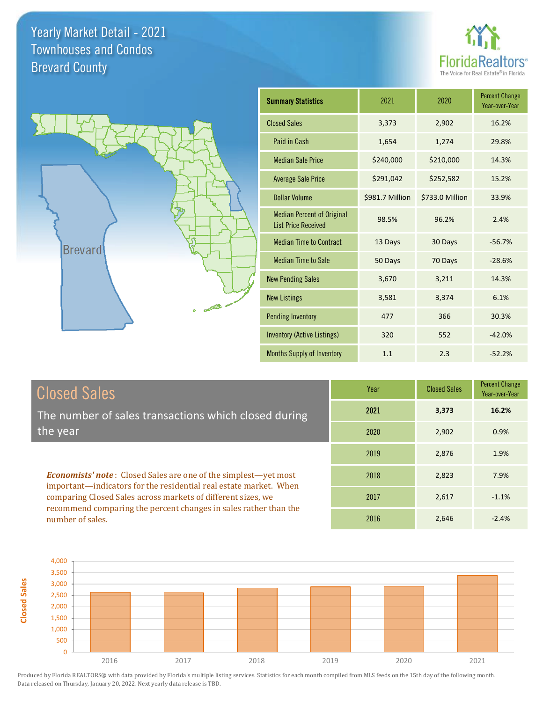



| <b>Summary Statistics</b>                                       | 2021            | 2020            | <b>Percent Change</b><br>Year-over-Year |
|-----------------------------------------------------------------|-----------------|-----------------|-----------------------------------------|
| <b>Closed Sales</b>                                             | 3,373           | 2,902           | 16.2%                                   |
| Paid in Cash                                                    | 1,654           | 1,274           | 29.8%                                   |
| <b>Median Sale Price</b>                                        | \$240,000       | \$210,000       | 14.3%                                   |
| <b>Average Sale Price</b>                                       | \$291,042       | \$252,582       | 15.2%                                   |
| <b>Dollar Volume</b>                                            | \$981.7 Million | \$733.0 Million | 33.9%                                   |
| <b>Median Percent of Original</b><br><b>List Price Received</b> | 98.5%           | 96.2%           | 2.4%                                    |
| <b>Median Time to Contract</b>                                  | 13 Days         | 30 Days         | $-56.7%$                                |
| <b>Median Time to Sale</b>                                      | 50 Days         | 70 Days         | $-28.6%$                                |
| <b>New Pending Sales</b>                                        | 3,670           | 3,211           | 14.3%                                   |
| <b>New Listings</b>                                             | 3,581           | 3,374           | 6.1%                                    |
| <b>Pending Inventory</b>                                        | 477             | 366             | 30.3%                                   |
| <b>Inventory (Active Listings)</b>                              | 320             | 552             | $-42.0%$                                |
| Months Supply of Inventory                                      | 1.1             | 2.3             | $-52.2%$                                |

## Closed Sales

**Closed Sales**

The number of sales transactions which closed during the year

*Economists' note* : Closed Sales are one of the simplest—yet most important—indicators for the residential real estate market. When comparing Closed Sales across markets of different sizes, we recommend comparing the percent changes in sales rather than the number of sales.

| Year | <b>Closed Sales</b> | <b>Percent Change</b><br>Year-over-Year |
|------|---------------------|-----------------------------------------|
| 2021 | 3,373               | 16.2%                                   |
| 2020 | 2,902               | 0.9%                                    |
| 2019 | 2,876               | 1.9%                                    |
| 2018 | 2,823               | 7.9%                                    |
| 2017 | 2,617               | $-1.1%$                                 |
| 2016 | 2,646               | $-2.4%$                                 |

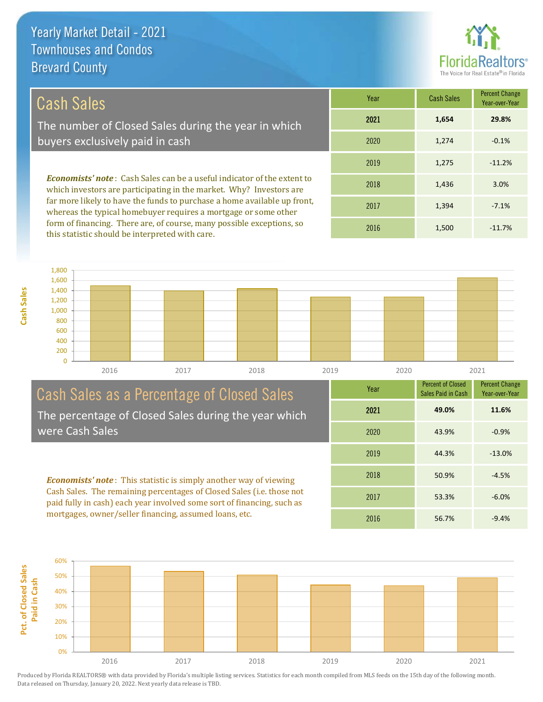

## Cash Sales

The number of Closed Sales during the year in which buyers exclusively paid in cash

*Economists' note* : Cash Sales can be a useful indicator of the extent to which investors are participating in the market. Why? Investors are far more likely to have the funds to purchase a home available up front, whereas the typical homebuyer requires a mortgage or some other form of financing. There are, of course, many possible exceptions, so this statistic should be interpreted with care.

| Year | <b>Cash Sales</b> | <b>Percent Change</b><br>Year-over-Year |
|------|-------------------|-----------------------------------------|
| 2021 | 1,654             | 29.8%                                   |
| 2020 | 1,274             | $-0.1%$                                 |
| 2019 | 1,275             | $-11.2%$                                |
| 2018 | 1,436             | 3.0%                                    |
| 2017 | 1,394             | $-7.1%$                                 |
| 2016 | 1,500             | $-11.7%$                                |



#### Cash Sales as a Percentage of Closed Sales The percentage of Closed Sales during the year which were Cash Sales

*Economists' note* : This statistic is simply another way of viewing Cash Sales. The remaining percentages of Closed Sales (i.e. those not paid fully in cash) each year involved some sort of financing, such as

mortgages, owner/seller financing, assumed loans, etc.



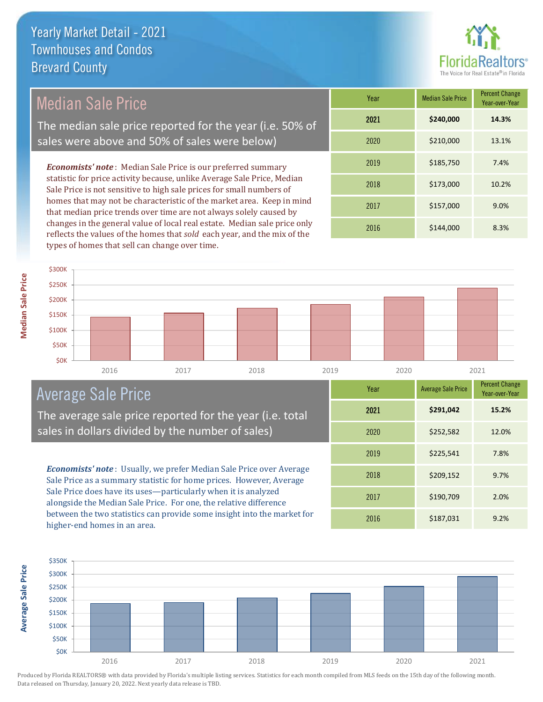

## Median Sale Price

The median sale price reported for the year (i.e. 50% of sales were above and 50% of sales were below)

*Economists' note* : Median Sale Price is our preferred summary statistic for price activity because, unlike Average Sale Price, Median Sale Price is not sensitive to high sale prices for small numbers of homes that may not be characteristic of the market area. Keep in mind that median price trends over time are not always solely caused by changes in the general value of local real estate. Median sale price only reflects the values of the homes that *sold* each year, and the mix of the types of homes that sell can change over time.

| Year | <b>Median Sale Price</b> | <b>Percent Change</b><br>Year-over-Year |
|------|--------------------------|-----------------------------------------|
| 2021 | \$240,000                | 14.3%                                   |
| 2020 | \$210,000                | 13.1%                                   |
| 2019 | \$185,750                | 7.4%                                    |
| 2018 | \$173,000                | 10.2%                                   |
| 2017 | \$157,000                | 9.0%                                    |
| 2016 | \$144,000                | 8.3%                                    |



## Average Sale Price

The average sale price reported for the year (i.e. total sales in dollars divided by the number of sales)

*Economists' note* : Usually, we prefer Median Sale Price over Average Sale Price as a summary statistic for home prices. However, Average Sale Price does have its uses—particularly when it is analyzed alongside the Median Sale Price. For one, the relative difference between the two statistics can provide some insight into the market for higher-end homes in an area.

| Year | <b>Average Sale Price</b> | <b>Percent Change</b><br>Year-over-Year |
|------|---------------------------|-----------------------------------------|
| 2021 | \$291,042                 | 15.2%                                   |
| 2020 | \$252,582                 | 12.0%                                   |
| 2019 | \$225,541                 | 7.8%                                    |
| 2018 | \$209,152                 | 9.7%                                    |
| 2017 | \$190,709                 | 2.0%                                    |
| 2016 | \$187,031                 | 9.2%                                    |

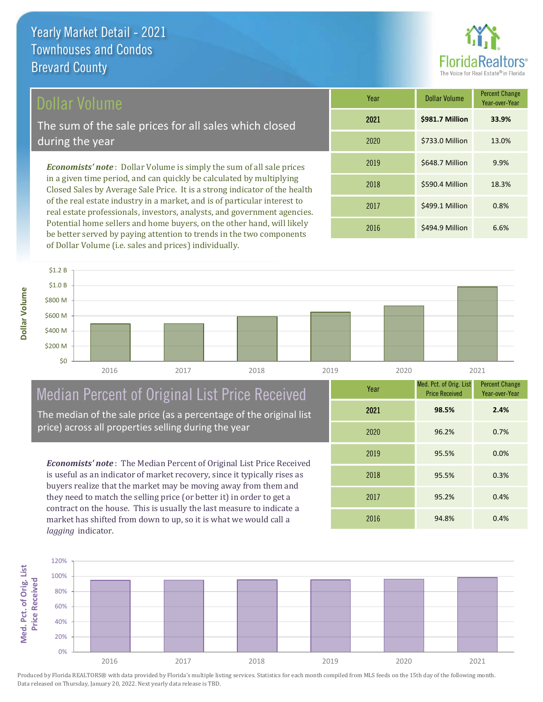## Dollar Volume

The sum of the sale prices for all sales which closed during the year

*Economists' note* : Dollar Volume is simply the sum of all sale prices in a given time period, and can quickly be calculated by multiplying Closed Sales by Average Sale Price. It is a strong indicator of the health of the real estate industry in a market, and is of particular interest to real estate professionals, investors, analysts, and government agencies. Potential home sellers and home buyers, on the other hand, will likely be better served by paying attention to trends in the two components of Dollar Volume (i.e. sales and prices) individually.

| Year | <b>Dollar Volume</b> | <b>Percent Change</b><br>Year-over-Year |
|------|----------------------|-----------------------------------------|
| 2021 | \$981.7 Million      | 33.9%                                   |
| 2020 | \$733.0 Million      | 13.0%                                   |
| 2019 | \$648.7 Million      | 9.9%                                    |
| 2018 | \$590.4 Million      | 18.3%                                   |
| 2017 | \$499.1 Million      | 0.8%                                    |
| 2016 | \$494.9 Million      | 6.6%                                    |



# Median Percent of Original List Price Received

The median of the sale price (as a percentage of the original list price) across all properties selling during the year

*Economists' note* : The Median Percent of Original List Price Received is useful as an indicator of market recovery, since it typically rises as buyers realize that the market may be moving away from them and they need to match the selling price (or better it) in order to get a contract on the house. This is usually the last measure to indicate a market has shifted from down to up, so it is what we would call a *lagging* indicator.

| Year | Med. Pct. of Orig. List<br><b>Price Received</b> | <b>Percent Change</b><br>Year-over-Year |
|------|--------------------------------------------------|-----------------------------------------|
| 2021 | 98.5%                                            | 2.4%                                    |
| 2020 | 96.2%                                            | 0.7%                                    |
| 2019 | 95.5%                                            | 0.0%                                    |
| 2018 | 95.5%                                            | 0.3%                                    |
| 2017 | 95.2%                                            | 0.4%                                    |
| 2016 | 94.8%                                            | 0.4%                                    |

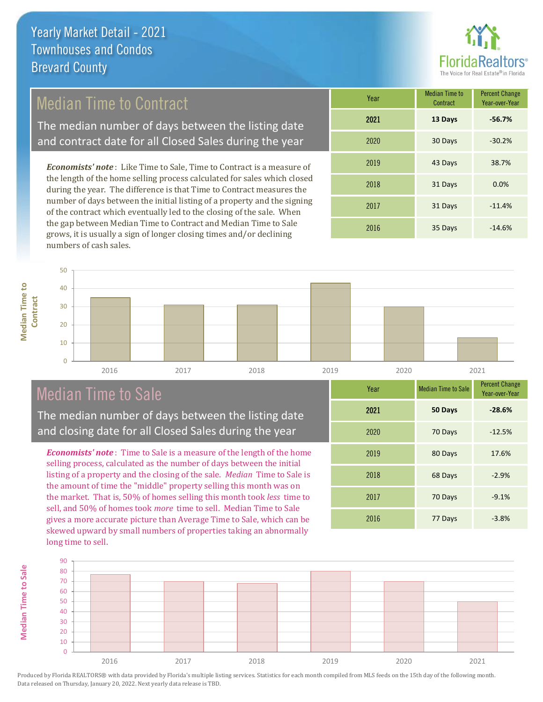

## Median Time to Contract

The median number of days between the listing date and contract date for all Closed Sales during the year

*Economists' note* : Like Time to Sale, Time to Contract is a measure of the length of the home selling process calculated for sales which closed during the year. The difference is that Time to Contract measures the number of days between the initial listing of a property and the signing of the contract which eventually led to the closing of the sale. When the gap between Median Time to Contract and Median Time to Sale grows, it is usually a sign of longer closing times and/or declining numbers of cash sales.

| Year | <b>Median Time to</b><br>Contract | <b>Percent Change</b><br>Year-over-Year |
|------|-----------------------------------|-----------------------------------------|
| 2021 | 13 Days                           | $-56.7%$                                |
| 2020 | 30 Days                           | $-30.2%$                                |
| 2019 | 43 Days                           | 38.7%                                   |
| 2018 | 31 Days                           | 0.0%                                    |
| 2017 | 31 Days                           | $-11.4%$                                |
| 2016 | 35 Days                           | $-14.6%$                                |



## Median Time to Sale

The median number of days between the listing date and closing date for all Closed Sales during the year

*Economists' note* : Time to Sale is a measure of the length of the home selling process, calculated as the number of days between the initial listing of a property and the closing of the sale. *Median* Time to Sale is the amount of time the "middle" property selling this month was on the market. That is, 50% of homes selling this month took *less* time to sell, and 50% of homes took *more* time to sell. Median Time to Sale gives a more accurate picture than Average Time to Sale, which can be skewed upward by small numbers of properties taking an abnormally long time to sell.

| Year | <b>Median Time to Sale</b> | <b>Percent Change</b><br>Year-over-Year |
|------|----------------------------|-----------------------------------------|
| 2021 | 50 Days                    | $-28.6%$                                |
| 2020 | 70 Days                    | $-12.5%$                                |
| 2019 | 80 Days                    | 17.6%                                   |
| 2018 | 68 Days                    | $-2.9%$                                 |
| 2017 | 70 Days                    | $-9.1%$                                 |
| 2016 | 77 Days                    | $-3.8%$                                 |

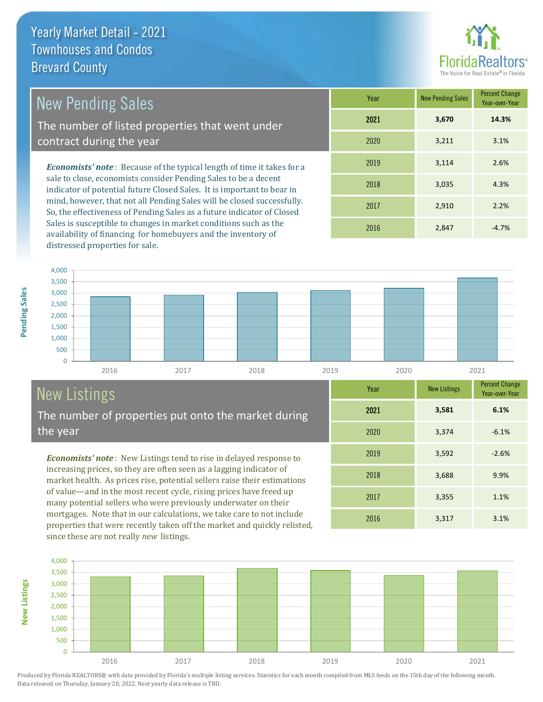

## New Pending Sales

The number of listed properties that went under contract during the year

*Economists' note* : Because of the typical length of time it takes for a sale to close, economists consider Pending Sales to be a decent indicator of potential future Closed Sales. It is important to bear in mind, however, that not all Pending Sales will be closed successfully. So, the effectiveness of Pending Sales as a future indicator of Closed Sales is susceptible to changes in market conditions such as the availability of financing for homebuyers and the inventory of distressed properties for sale.

| Year | <b>New Pending Sales</b> | <b>Percent Change</b><br>Year-over-Year |
|------|--------------------------|-----------------------------------------|
| 2021 | 3,670                    | 14.3%                                   |
| 2020 | 3,211                    | 3.1%                                    |
| 2019 | 3,114                    | 2.6%                                    |
| 2018 | 3,035                    | 4.3%                                    |
| 2017 | 2,910                    | 2.2%                                    |
| 2016 | 2,847                    | $-4.7%$                                 |



# New Listings

The number of properties put onto the market during the year

*Economists' note* : New Listings tend to rise in delayed response to increasing prices, so they are often seen as a lagging indicator of market health. As prices rise, potential sellers raise their estimations of value—and in the most recent cycle, rising prices have freed up many potential sellers who were previously underwater on their mortgages. Note that in our calculations, we take care to not include properties that were recently taken off the market and quickly relisted, since these are not really *new* listings.



Produced by Florida REALTORS® with data provided by Florida's multiple listing services. Statistics for each month compiled from MLS feeds on the 15th day of the following month. Data released on Thursday, January 20, 2022. Next yearly data release is TBD.

**New Listings**

**Year** New Listings Percent Change

2021 **3,581**

2018

3,688 9.9%

2016 3,317 3.1%

2017 3,355 1.1%

2019 3,592 -2.6%

2020 3,374 -6.1%

Year-over-Year

**6.1%**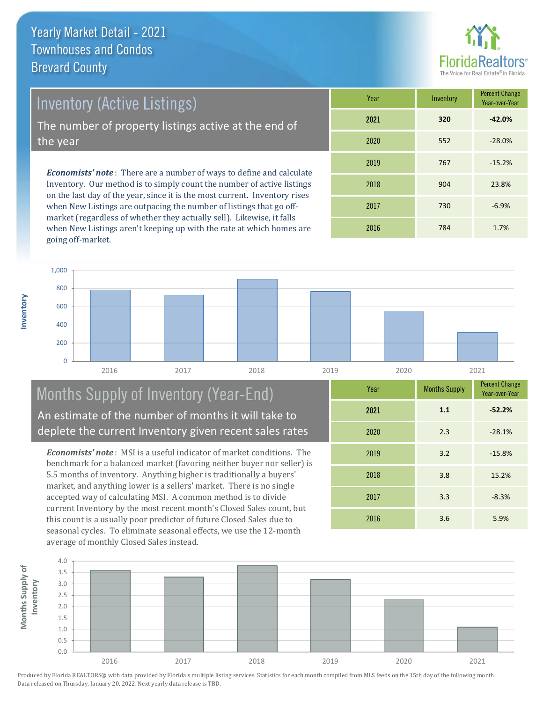**Inventory**



Inventory (Active Listings)

The number of property listings active at the end of the year

*Economists' note* : There are a number of ways to define and calculate Inventory. Our method is to simply count the number of active listings on the last day of the year, since it is the most current. Inventory rises when New Listings are outpacing the number of listings that go offmarket (regardless of whether they actually sell). Likewise, it falls when New Listings aren't keeping up with the rate at which homes are going off-market.

| Year | Inventory | <b>Percent Change</b><br>Year-over-Year |
|------|-----------|-----------------------------------------|
| 2021 | 320       | $-42.0%$                                |
| 2020 | 552       | $-28.0%$                                |
| 2019 | 767       | $-15.2%$                                |
| 2018 | 904       | 23.8%                                   |
| 2017 | 730       | $-6.9%$                                 |
| 2016 | 784       | 1.7%                                    |



### Months Supply of Inventory (Year-End) An estimate of the number of months it will take to deplete the current Inventory given recent sales rates

*Economists' note* : MSI is a useful indicator of market conditions. The benchmark for a balanced market (favoring neither buyer nor seller) is 5.5 months of inventory. Anything higher is traditionally a buyers' market, and anything lower is a sellers' market. There is no single accepted way of calculating MSI. A common method is to divide current Inventory by the most recent month's Closed Sales count, but this count is a usually poor predictor of future Closed Sales due to seasonal cycles. To eliminate seasonal effects, we use the 12-month average of monthly Closed Sales instead.

| Year | <b>Months Supply</b> | <b>Percent Change</b><br>Year-over-Year |
|------|----------------------|-----------------------------------------|
| 2021 | 1.1                  | $-52.2%$                                |
| 2020 | 2.3                  | $-28.1%$                                |
| 2019 | 3.2                  | $-15.8%$                                |
| 2018 | 3.8                  | 15.2%                                   |
| 2017 | 3.3                  | $-8.3%$                                 |
| 2016 | 3.6                  | 5.9%                                    |

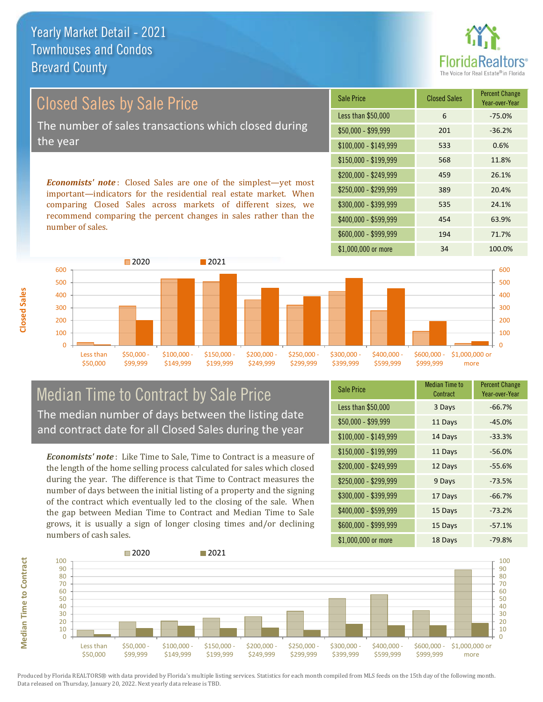

## *Economists' note* : Closed Sales are one of the simplest—yet most Sale Price Closed Sales Percent Change Closed Sales by Sale Price The number of sales transactions which closed during the year

important—indicators for the residential real estate market. When comparing Closed Sales across markets of different sizes, we recommend comparing the percent changes in sales rather than the number of sales.





#### Median Time to Contract by Sale Price The median number of days between the listing date and contract date for all Closed Sales during the year

*Economists' note* : Like Time to Sale, Time to Contract is a measure of the length of the home selling process calculated for sales which closed during the year. The difference is that Time to Contract measures the number of days between the initial listing of a property and the signing of the contract which eventually led to the closing of the sale. When the gap between Median Time to Contract and Median Time to Sale grows, it is usually a sign of longer closing times and/or declining numbers of cash sales.

| <b>Sale Price</b>     | <b>Median Time to</b><br>Contract | <b>Percent Change</b><br>Year-over-Year |
|-----------------------|-----------------------------------|-----------------------------------------|
| Less than \$50,000    | 3 Days                            | $-66.7%$                                |
| \$50,000 - \$99,999   | 11 Days                           | $-45.0%$                                |
| $$100,000 - $149,999$ | 14 Days                           | $-33.3%$                                |
| \$150,000 - \$199,999 | 11 Days                           | $-56.0%$                                |
| \$200,000 - \$249,999 | 12 Days                           | $-55.6%$                                |
| \$250,000 - \$299,999 | 9 Days                            | $-73.5%$                                |
| \$300,000 - \$399,999 | 17 Days                           | $-66.7%$                                |
| \$400,000 - \$599,999 | 15 Days                           | $-73.2%$                                |
| \$600,000 - \$999,999 | 15 Days                           | $-57.1%$                                |
| \$1,000,000 or more   | 18 Days                           | $-79.8%$                                |

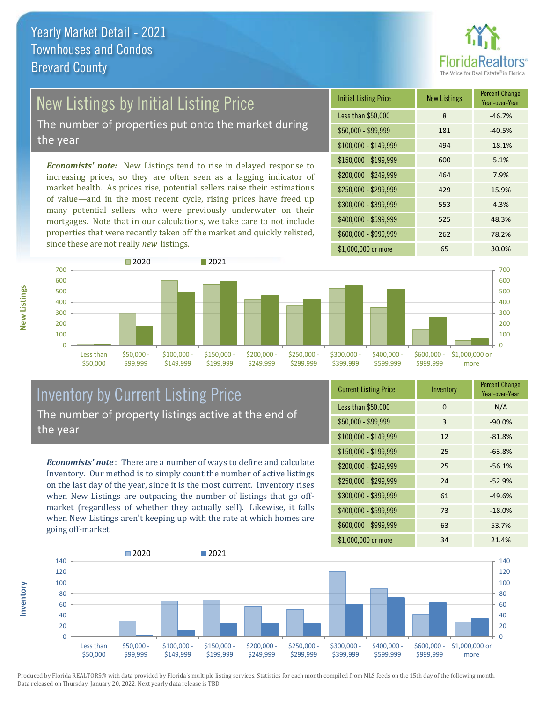

## New Listings by Initial Listing Price

The number of properties put onto the market during the year

*Economists' note:* New Listings tend to rise in delayed response to increasing prices, so they are often seen as a lagging indicator of market health. As prices rise, potential sellers raise their estimations of value—and in the most recent cycle, rising prices have freed up many potential sellers who were previously underwater on their mortgages. Note that in our calculations, we take care to not include properties that were recently taken off the market and quickly relisted, since these are not really *new* listings.

| <b>Initial Listing Price</b> | <b>New Listings</b> | <b>Percent Change</b><br>Year-over-Year |
|------------------------------|---------------------|-----------------------------------------|
| Less than \$50,000           | 8                   | $-46.7%$                                |
| $$50,000 - $99,999$          | 181                 | $-40.5%$                                |
| $$100,000 - $149,999$        | 494                 | $-18.1%$                                |
| $$150,000 - $199,999$        | 600                 | 5.1%                                    |
| $$200,000 - $249,999$        | 464                 | 7.9%                                    |
| \$250,000 - \$299,999        | 429                 | 15.9%                                   |
| \$300,000 - \$399,999        | 553                 | 4.3%                                    |
| \$400,000 - \$599,999        | 525                 | 48.3%                                   |
| \$600,000 - \$999,999        | 262                 | 78.2%                                   |
| \$1,000,000 or more          | 65                  | 30.0%                                   |



#### Inventory by Current Listing Price The number of property listings active at the end of the year

*Economists' note* : There are a number of ways to define and calculate Inventory. Our method is to simply count the number of active listings on the last day of the year, since it is the most current. Inventory rises when New Listings are outpacing the number of listings that go offmarket (regardless of whether they actually sell). Likewise, it falls when New Listings aren't keeping up with the rate at which homes are going off-market.

| <b>Current Listing Price</b> | Inventory | <b>Percent Change</b><br>Year-over-Year |
|------------------------------|-----------|-----------------------------------------|
| Less than \$50,000           | $\Omega$  | N/A                                     |
| $$50,000 - $99,999$          | 3         | $-90.0%$                                |
| $$100,000 - $149,999$        | 12        | $-81.8%$                                |
| $$150,000 - $199,999$        | 25        | $-63.8%$                                |
| \$200,000 - \$249,999        | 25        | $-56.1%$                                |
| \$250,000 - \$299,999        | 24        | $-52.9%$                                |
| \$300,000 - \$399,999        | 61        | $-49.6%$                                |
| \$400,000 - \$599,999        | 73        | $-18.0%$                                |
| \$600,000 - \$999,999        | 63        | 53.7%                                   |
| \$1,000,000 or more          | 34        | 21.4%                                   |



Produced by Florida REALTORS® with data provided by Florida's multiple listing services. Statistics for each month compiled from MLS feeds on the 15th day of the following month. Data released on Thursday, January 20, 2022. Next yearly data release is TBD.

**Inventory**